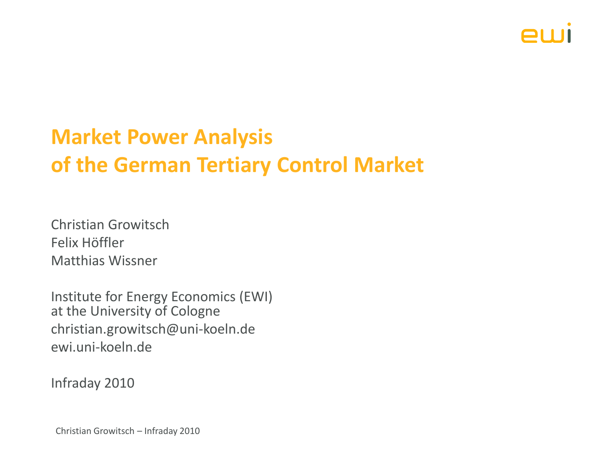

### **Market Power Analysis of the German Tertiary Control Market**

Christian Growitsch Felix Höffler Matthias Wissner

Institute for Energy Economics (EWI) at the University of Cologne christian.growitsch@uni-koeln.de ewi.uni-koeln.de

Infraday 2010

Christian Growitsch – Infraday 2010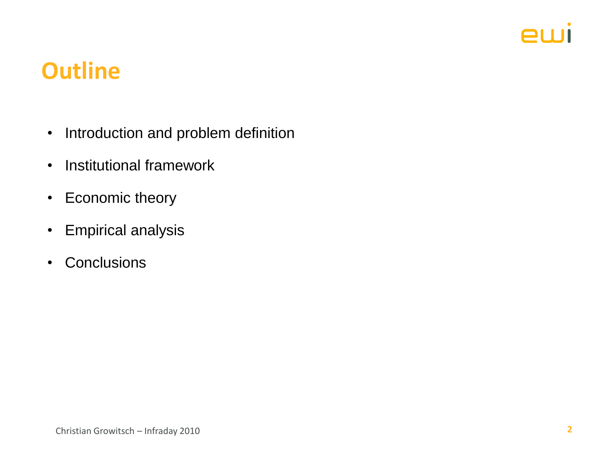

## **Outline**

- Introduction and problem definition
- Institutional framework
- Economic theory
- Empirical analysis
- Conclusions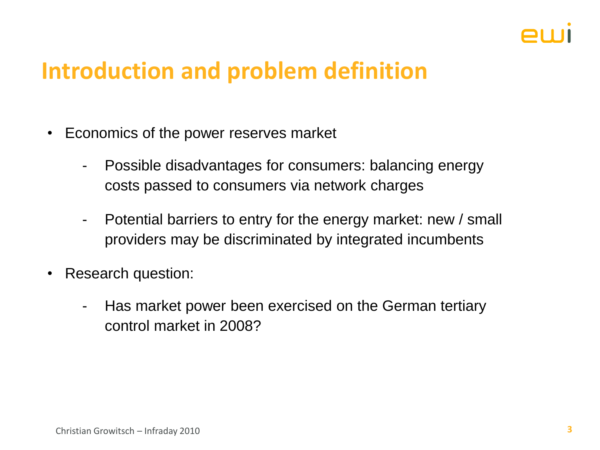

## **Introduction and problem definition**

- Economics of the power reserves market
	- Possible disadvantages for consumers: balancing energy costs passed to consumers via network charges
	- Potential barriers to entry for the energy market: new / small providers may be discriminated by integrated incumbents
- Research question:
	- Has market power been exercised on the German tertiary control market in 2008?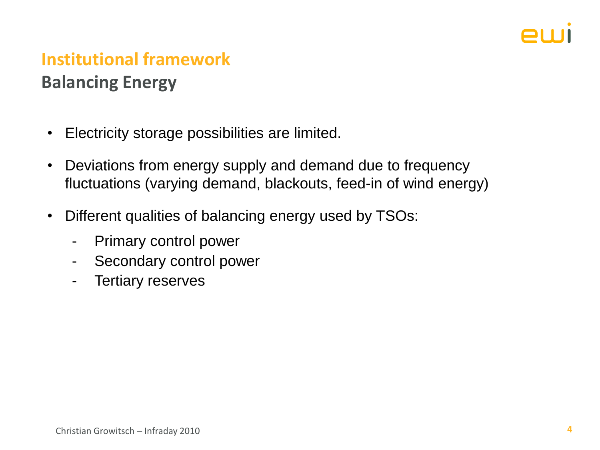

# **Institutional framework**

### **Balancing Energy**

- Electricity storage possibilities are limited.
- Deviations from energy supply and demand due to frequency fluctuations (varying demand, blackouts, feed-in of wind energy)
- Different qualities of balancing energy used by TSOs:
	- Primary control power
	- Secondary control power
	- Tertiary reserves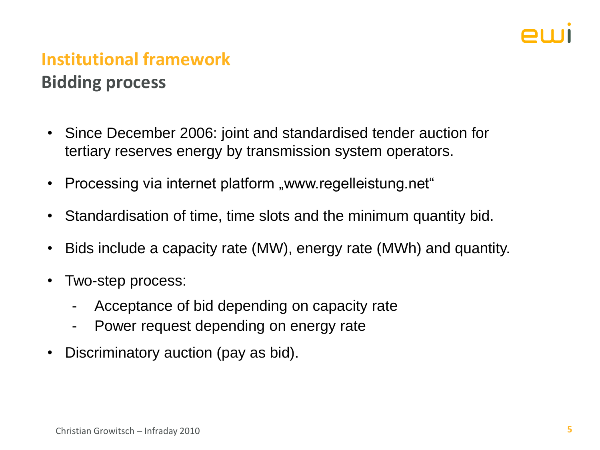

#### **Institutional framework Bidding process**

- Since December 2006: joint and standardised tender auction for tertiary reserves energy by transmission system operators.
- Processing via internet platform "www.regelleistung.net"
- Standardisation of time, time slots and the minimum quantity bid.
- Bids include a capacity rate (MW), energy rate (MWh) and quantity.
- Two-step process:
	- Acceptance of bid depending on capacity rate
	- Power request depending on energy rate
- Discriminatory auction (pay as bid).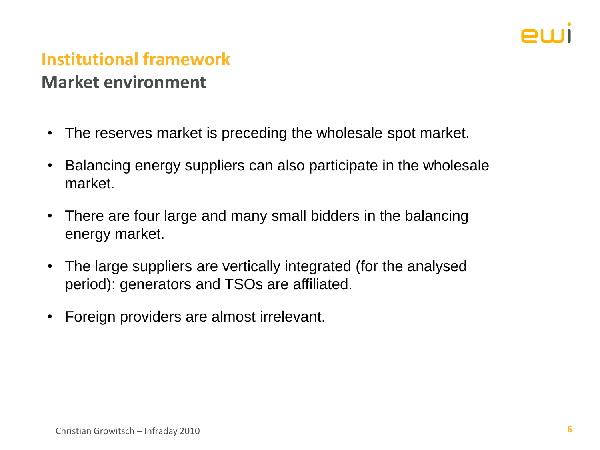

## **Institutional framework**

### **Market environment**

- The reserves market is preceding the wholesale spot market.
- Balancing energy suppliers can also participate in the wholesale market.
- There are four large and many small bidders in the balancing energy market.
- The large suppliers are vertically integrated (for the analysed period): generators and TSOs are affiliated.
- Foreign providers are almost irrelevant.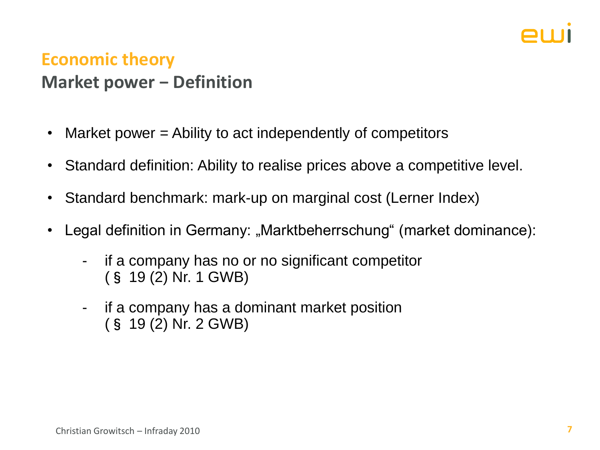

#### **Economic theory**

### **Market power − Definition**

- Market power = Ability to act independently of competitors
- Standard definition: Ability to realise prices above a competitive level.
- Standard benchmark: mark-up on marginal cost (Lerner Index)
- Legal definition in Germany: "Marktbeherrschung" (market dominance):
	- if a company has no or no significant competitor (§ 19 (2) Nr. 1 GWB)
	- if a company has a dominant market position (§ 19 (2) Nr. 2 GWB)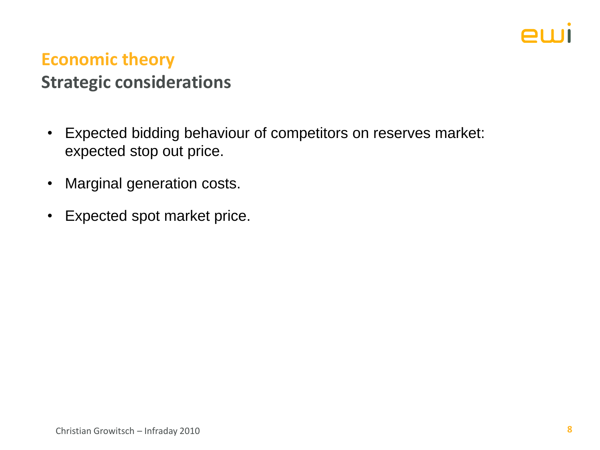

#### **Economic theory**

#### **Strategic considerations**

- Expected bidding behaviour of competitors on reserves market: expected stop out price.
- Marginal generation costs.
- Expected spot market price.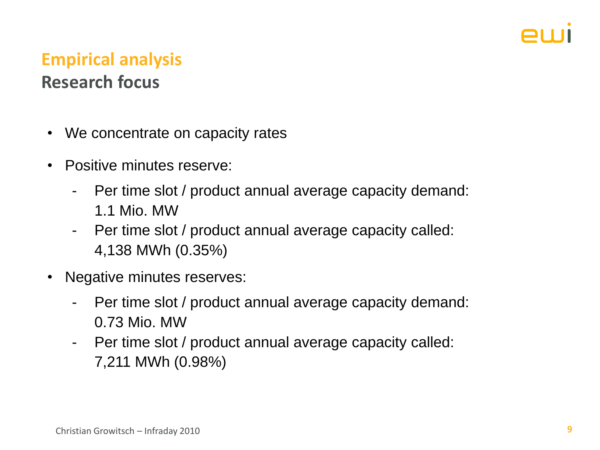

### **Empirical analysis Research focus**

- We concentrate on capacity rates
- Positive minutes reserve:
	- Per time slot / product annual average capacity demand: 1.1 Mio. MW
	- Per time slot / product annual average capacity called: 4,138 MWh (0.35%)
- Negative minutes reserves:
	- Per time slot / product annual average capacity demand: 0.73 Mio. MW
	- Per time slot / product annual average capacity called: 7,211 MWh (0.98%)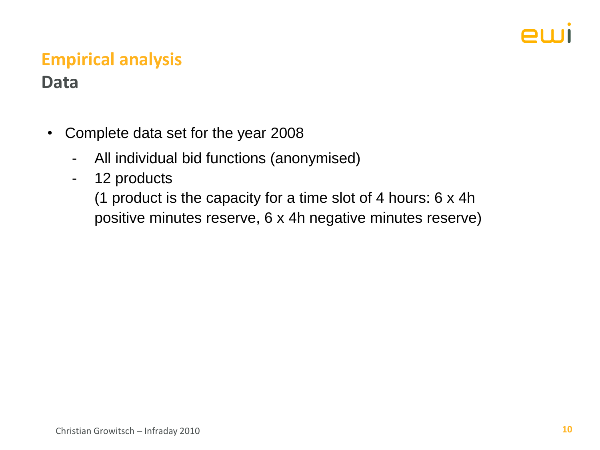

### **Empirical analysis Data**

- Complete data set for the year 2008
	- All individual bid functions (anonymised)
	- 12 products

(1 product is the capacity for a time slot of 4 hours: 6 x 4h positive minutes reserve, 6 x 4h negative minutes reserve)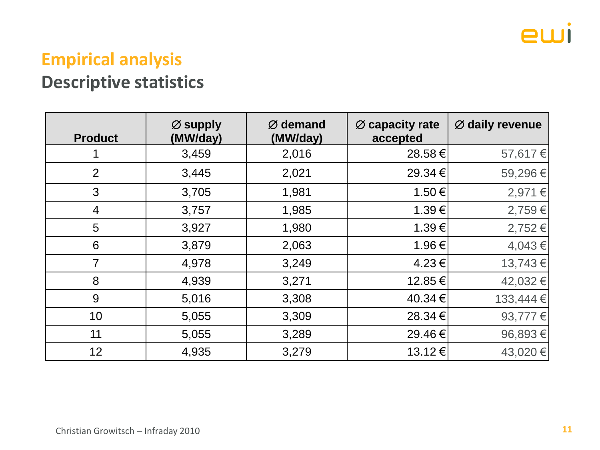### **Empirical analysis Descriptive statistics**

| <b>Product</b> | $\varnothing$ supply<br>(MW/day) | $\varnothing$ demand<br>(MW/day) | $\varnothing$ capacity rate<br>accepted | $\varnothing$ daily revenue |
|----------------|----------------------------------|----------------------------------|-----------------------------------------|-----------------------------|
|                | 3,459                            | 2,016                            | 28.58€                                  | 57,617€                     |
| $\overline{2}$ | 3,445                            | 2,021                            | 29.34 €                                 | 59,296€                     |
| 3              | 3,705                            | 1,981                            | 1.50 €                                  | 2,971 €                     |
| $\overline{4}$ | 3,757                            | 1,985                            | 1.39€                                   | 2,759€                      |
| 5              | 3,927                            | 1,980                            | 1.39€                                   | 2,752€                      |
| 6              | 3,879                            | 2,063                            | 1.96€                                   | 4,043€                      |
| $\overline{7}$ | 4,978                            | 3,249                            | $4.23 \in$                              | 13,743€                     |
| 8              | 4,939                            | 3,271                            | 12.85€                                  | 42,032 €                    |
| 9              | 5,016                            | 3,308                            | 40.34 €                                 | 133,444 €                   |
| 10             | 5,055                            | 3,309                            | 28.34 €                                 | 93,777 €                    |
| 11             | 5,055                            | 3,289                            | 29.46€                                  | 96,893€                     |
| 12             | 4,935                            | 3,279                            | 13.12 €                                 | 43,020 €                    |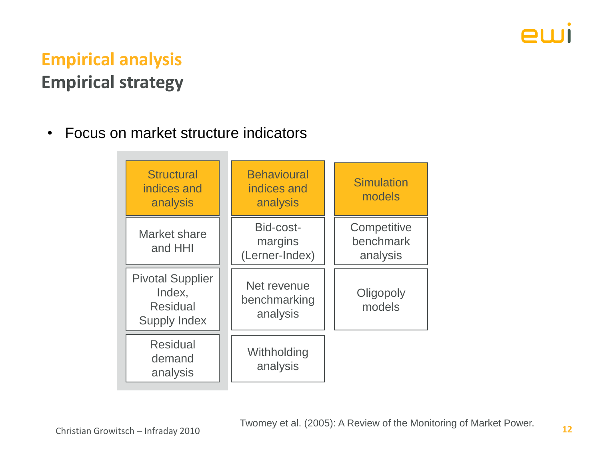# ewi

### **Empirical analysis Empirical strategy**

• Focus on market structure indicators



Twomey et al. (2005): A Review of the Monitoring of Market Power.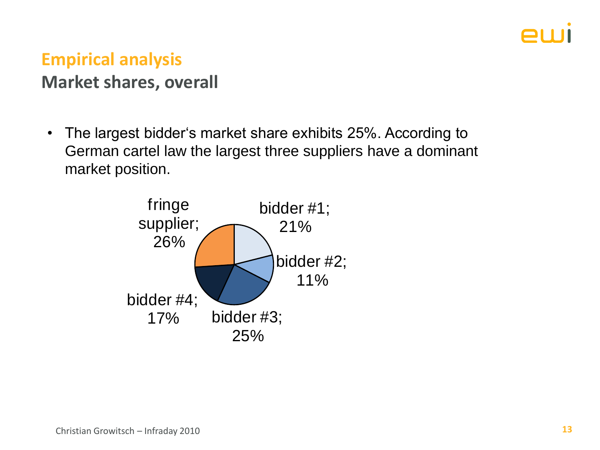# 81 I I

#### **Empirical analysis Market shares, overall**

• The largest bidder's market share exhibits 25%. According to German cartel law the largest three suppliers have a dominant market position.

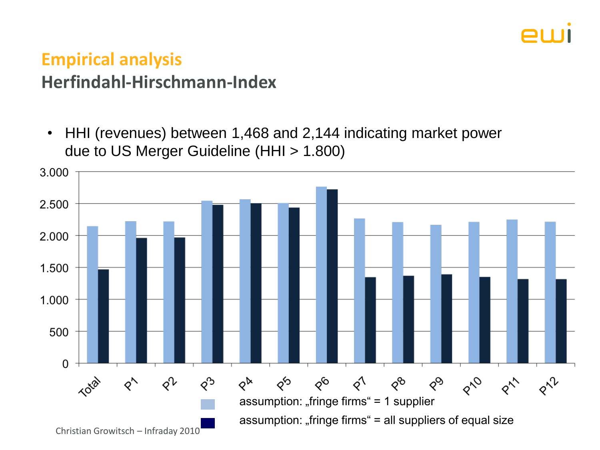

### **Empirical analysis Herfindahl-Hirschmann-Index**

• HHI (revenues) between 1,468 and 2,144 indicating market power due to US Merger Guideline (HHI > 1.800)

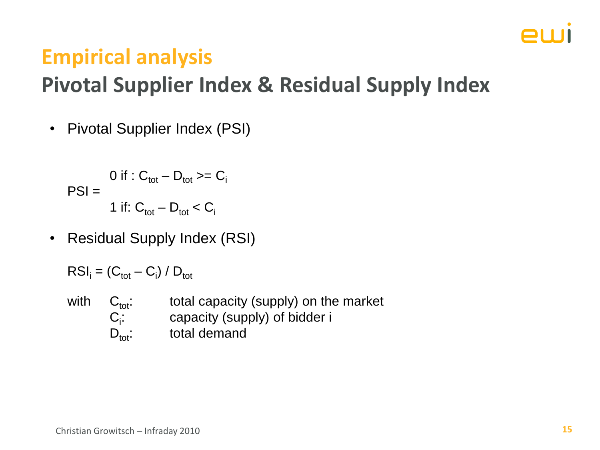## 21 1 11

## **Empirical analysis**

## **Pivotal Supplier Index & Residual Supply Index**

• Pivotal Supplier Index (PSI)

$$
O \text{ if : } C_{\text{tot}} - D_{\text{tot}} \geq C_{\text{i}}
$$
  
PSI = 1 if: C<sub>tot</sub> - D<sub>tot</sub> < C<sub>i</sub>

• Residual Supply Index (RSI)

 $\left| \text{RSI}_{i} \right| = \left( \text{C}_{\text{tot}} - \text{C}_{i} \right) / \text{D}_{\text{tot}}$ 

with  $C_{\text{tot}}$ : total capacity (supply) on the market  $C_i$ : capacity (supply) of bidder i  $D_{\text{tot}}$ : total demand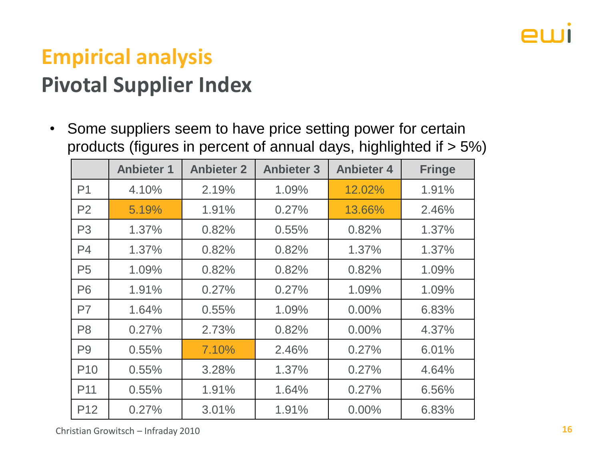

## **Empirical analysis Pivotal Supplier Index**

• Some suppliers seem to have price setting power for certain products (figures in percent of annual days, highlighted if > 5%)

|                 | <b>Anbieter 1</b> | <b>Anbieter 2</b> | <b>Anbieter 3</b> | <b>Anbieter 4</b> | <b>Fringe</b> |
|-----------------|-------------------|-------------------|-------------------|-------------------|---------------|
| P <sub>1</sub>  | 4.10%             | 2.19%             | 1.09%             | 12.02%            | 1.91%         |
| P <sub>2</sub>  | 5.19%             | 1.91%             | 0.27%             | 13.66%            | 2.46%         |
| P <sub>3</sub>  | 1.37%             | 0.82%             | 0.55%             | 0.82%             | 1.37%         |
| P <sub>4</sub>  | 1.37%             | 0.82%             | 0.82%             | 1.37%             | 1.37%         |
| P <sub>5</sub>  | 1.09%             | 0.82%             | 0.82%             | 0.82%             | 1.09%         |
| P <sub>6</sub>  | 1.91%             | 0.27%             | 0.27%             | 1.09%             | 1.09%         |
| P7              | 1.64%             | 0.55%             | 1.09%             | $0.00\%$          | 6.83%         |
| P <sub>8</sub>  | 0.27%             | 2.73%             | 0.82%             | $0.00\%$          | 4.37%         |
| P <sub>9</sub>  | 0.55%             | 7.10%             | 2.46%             | 0.27%             | 6.01%         |
| P <sub>10</sub> | 0.55%             | 3.28%             | 1.37%             | 0.27%             | 4.64%         |
| P <sub>11</sub> | 0.55%             | 1.91%             | 1.64%             | 0.27%             | 6.56%         |
| P <sub>12</sub> | 0.27%             | 3.01%             | 1.91%             | 0.00%             | 6.83%         |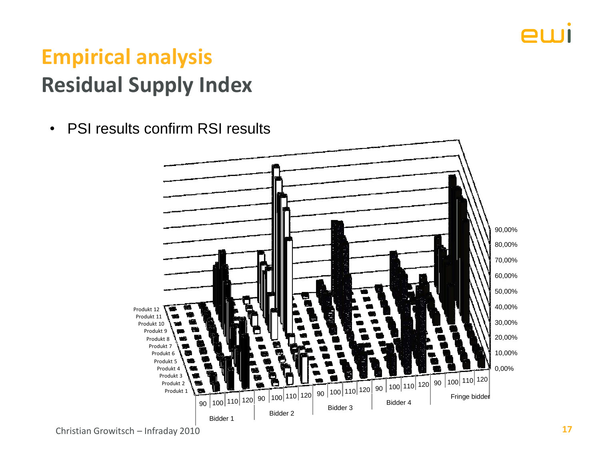

## **Empirical analysis Residual Supply Index**

• PSI results confirm RSI results

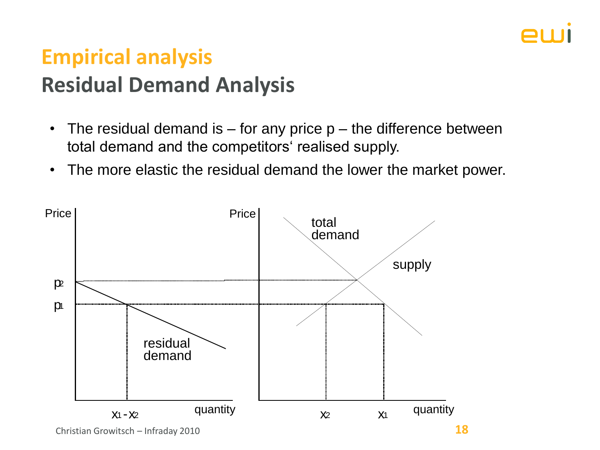

### **Empirical analysis Residual Demand Analysis**

- The residual demand is  $-$  for any price  $p -$  the difference between total demand and the competitors' realised supply.
- The more elastic the residual demand the lower the market power.

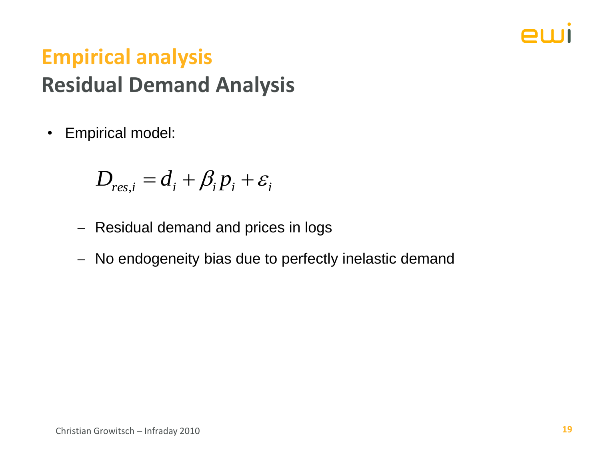

## **Empirical analysis Residual Demand Analysis**

• Empirical model:

$$
D_{res,i} = d_i + \beta_i p_i + \varepsilon_i
$$

- Residual demand and prices in logs
- No endogeneity bias due to perfectly inelastic demand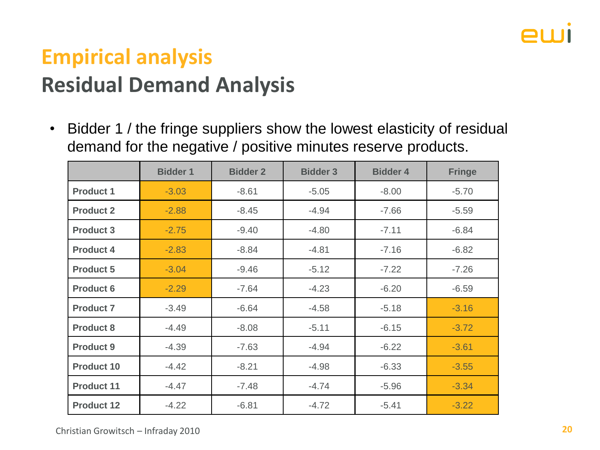

## **Empirical analysis Residual Demand Analysis**

• Bidder 1 / the fringe suppliers show the lowest elasticity of residual demand for the negative / positive minutes reserve products.

|                   | <b>Bidder 1</b> | <b>Bidder 2</b> | <b>Bidder 3</b> | <b>Bidder 4</b> | <b>Fringe</b> |
|-------------------|-----------------|-----------------|-----------------|-----------------|---------------|
| <b>Product 1</b>  | $-3.03$         | $-8.61$         | $-5.05$         | $-8.00$         | $-5.70$       |
| <b>Product 2</b>  | $-2.88$         | $-8.45$         | $-4.94$         | $-7.66$         | $-5.59$       |
| <b>Product 3</b>  | $-2.75$         | $-9.40$         | $-4.80$         | $-7.11$         | $-6.84$       |
| <b>Product 4</b>  | $-2.83$         | $-8.84$         | $-4.81$         | $-7.16$         | $-6.82$       |
| <b>Product 5</b>  | $-3.04$         | $-9.46$         | $-5.12$         | $-7.22$         | $-7.26$       |
| <b>Product 6</b>  | $-2.29$         | $-7.64$         | $-4.23$         | $-6.20$         | $-6.59$       |
| <b>Product 7</b>  | $-3.49$         | $-6.64$         | $-4.58$         | $-5.18$         | $-3.16$       |
| <b>Product 8</b>  | $-4.49$         | $-8.08$         | $-5.11$         | $-6.15$         | $-3.72$       |
| <b>Product 9</b>  | $-4.39$         | $-7.63$         | $-4.94$         | $-6.22$         | $-3.61$       |
| <b>Product 10</b> | $-4.42$         | $-8.21$         | $-4.98$         | $-6.33$         | $-3.55$       |
| <b>Product 11</b> | $-4.47$         | $-7.48$         | $-4.74$         | $-5.96$         | $-3.34$       |
| <b>Product 12</b> | $-4.22$         | $-6.81$         | $-4.72$         | $-5.41$         | $-3.22$       |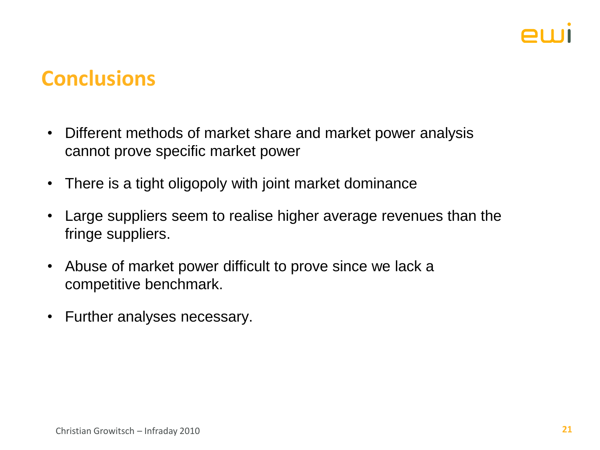

### **Conclusions**

- Different methods of market share and market power analysis cannot prove specific market power
- There is a tight oligopoly with joint market dominance
- Large suppliers seem to realise higher average revenues than the fringe suppliers.
- Abuse of market power difficult to prove since we lack a competitive benchmark.
- Further analyses necessary.